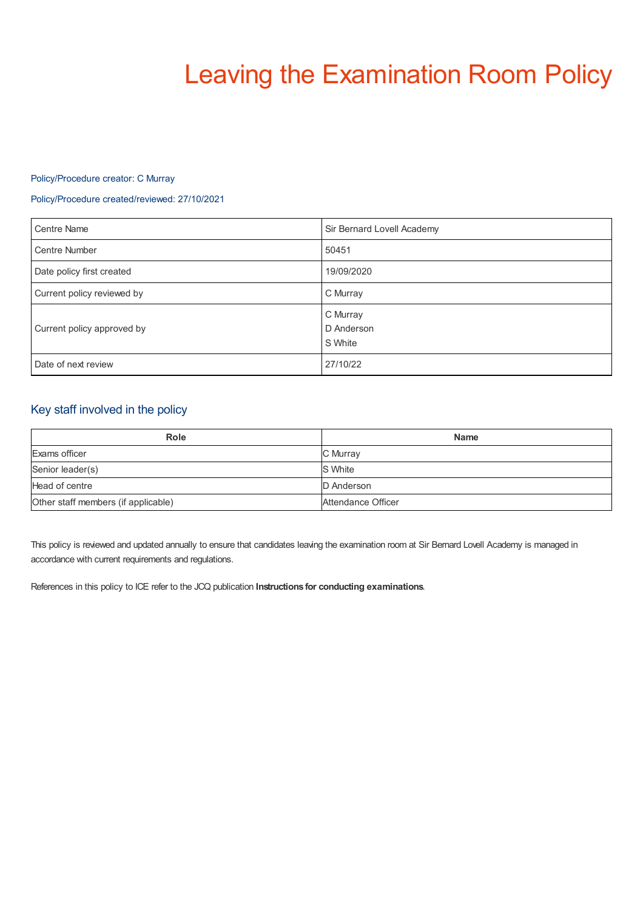# Leaving the Examination Room Policy

## Policy/Procedure creator: C Murray

## Policy/Procedure created/reviewed: 27/10/2021

| <b>Centre Name</b>         | Sir Bernard Lovell Academy        |
|----------------------------|-----------------------------------|
| <b>Centre Number</b>       | 50451                             |
| Date policy first created  | 19/09/2020                        |
| Current policy reviewed by | C Murray                          |
| Current policy approved by | C Murray<br>D Anderson<br>S White |
| Date of next review        | 27/10/22                          |

# Key staff involved in the policy

| <b>Role</b>                         | <b>Name</b>        |
|-------------------------------------|--------------------|
| Exams officer                       | C Murray           |
| Senior leader(s)                    | <b>S</b> White     |
| Head of centre                      | D Anderson         |
| Other staff members (if applicable) | Attendance Officer |

This policy is reviewed and updated annually to ensure that candidates leaving the examination room at Sir Bernard Lovell Academy is managed in accordance with current requirements and regulations.

References in this policy to ICE refer to the JCQ publication **Instructions for conducting examinations**.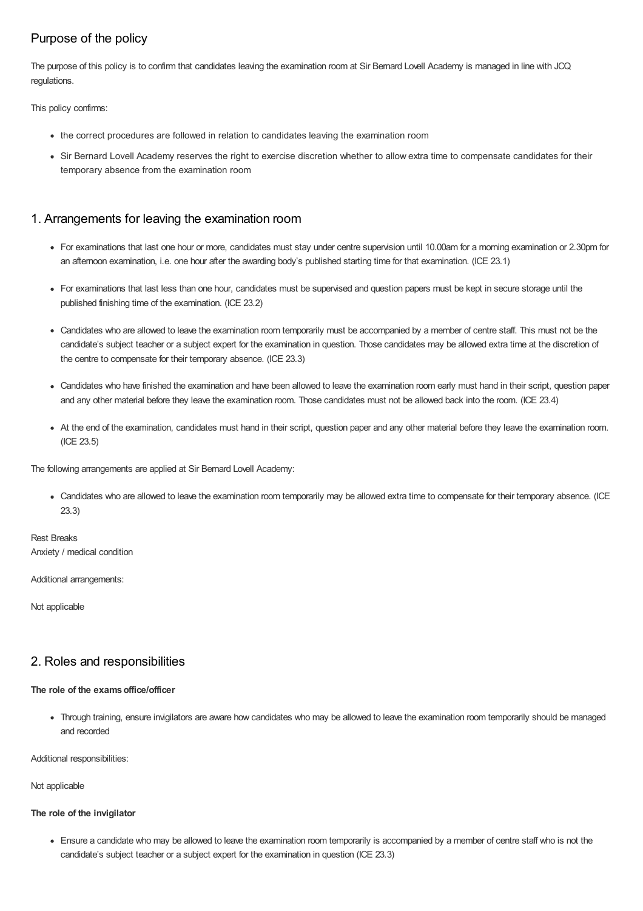# Purpose of the policy

The purpose of this policy is to confirm that candidates leaving the examination room at Sir Bernard Lovell Academy is managed in line with JCQ regulations.

This policy confirms:

- the correct procedures are followed in relation to candidates leaving the examination room
- Sir Bernard Lovell Academy reserves the right to exercise discretion whether to allow extra time to compensate candidates for their temporary absence from the examination room

## 1. Arrangements for leaving the examination room

- For examinations that last one hour or more, candidates must stay under centre supervision until 10.00am for a morning examination or 2.30pm for an afternoon examination, i.e. one hour after the awarding body's published starting time for that examination. (ICE 23.1)
- For examinations that last less than one hour, candidates must be supervised and question papers must be kept in secure storage until the published finishing time of the examination. (ICE 23.2)
- Candidates who are allowed to leave the examination room temporarily must be accompanied by a member of centre staff. This must not be the candidate's subject teacher or a subject expert for the examination in question. Those candidates may be allowed extra time at the discretion of the centre to compensate for their temporary absence. (ICE 23.3)
- Candidates who have finished the examination and have been allowed to leave the examination room early must hand in their script, question paper and any other material before they leave the examination room. Those candidates must not be allowed back into the room. (ICE 23.4)
- At the end of the examination, candidates must hand in their script, question paper and any other material before they leave the examination room. (ICE 23.5)

The following arrangements are applied at Sir Bernard Lovell Academy:

Candidates who are allowed to leave the examination room temporarily may be allowed extra time to compensate for their temporary absence. (ICE 23.3)

Rest Breaks Anxiety / medical condition

Additional arrangements:

Not applicable

# 2. Roles and responsibilities

## **The role of the examsoffice/officer**

Through training, ensure invigilators are aware how candidates who may be allowed to leave the examination room temporarily should be managed and recorded

Additional responsibilities:

Not applicable

## **The role of the invigilator**

Ensure a candidate who may be allowed to leave the examination room temporarily is accompanied by a member of centre staff who is not the candidate's subject teacher or a subject expert for the examination in question (ICE 23.3)